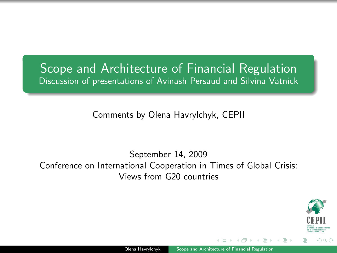#### Scope and Architecture of Financial Regulation Discussion of presentations of Avinash Persaud and Silvina Vatnick

Comments by Olena Havrylchyk, CEPII

September 14, 2009 Conference on International Cooperation in Times of Global Crisis: Views from G20 countries

<span id="page-0-0"></span>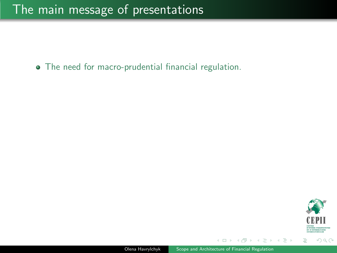The need for macro-prudential financial regulation.



 $\rightarrow \equiv$  >

 $\sim$ 

 $\leftarrow$   $\Box$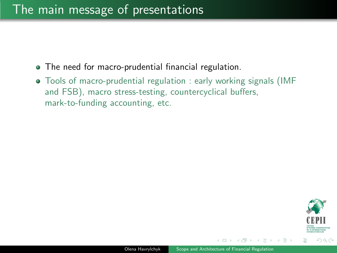#### The main message of presentations

- The need for macro-prudential financial regulation.
- Tools of macro-prudential regulation : early working signals (IMF and FSB), macro stress-testing, countercyclical buffers, mark-to-funding accounting, etc.



ミメスミメ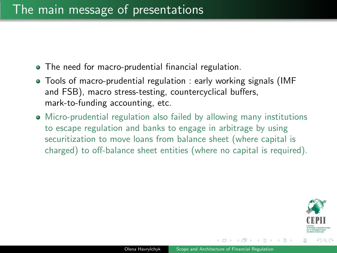- The need for macro-prudential financial regulation.
- Tools of macro-prudential regulation : early working signals (IMF and FSB), macro stress-testing, countercyclical buffers, mark-to-funding accounting, etc.
- Micro-prudential regulation also failed by allowing many institutions to escape regulation and banks to engage in arbitrage by using securitization to move loans from balance sheet (where capital is charged) to off-balance sheet entities (where no capital is required).



 $\Omega$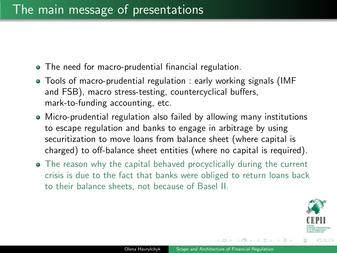- The need for macro-prudential financial regulation.
- Tools of macro-prudential regulation : early working signals (IMF and FSB), macro stress-testing, countercyclical buffers, mark-to-funding accounting, etc.
- Micro-prudential regulation also failed by allowing many institutions to escape regulation and banks to engage in arbitrage by using securitization to move loans from balance sheet (where capital is charged) to off-balance sheet entities (where no capital is required).
- The reason why the capital behaved procyclically during the current crisis is due to the fact that banks were obliged to return loans back to their balance sheets, not because of Basel II.

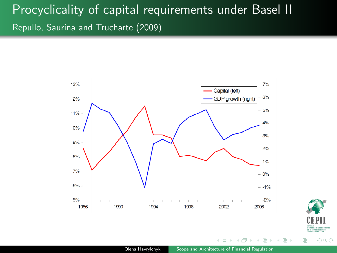## Procyclicality of capital requirements under Basel II Repullo, Saurina and Trucharte (2009)





 $\equiv$   $\rightarrow$ 

 $\left($  $\Box$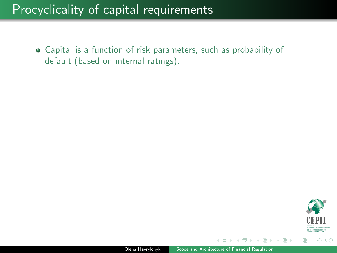#### Procyclicality of capital requirements

Capital is a function of risk parameters, such as probability of default (based on internal ratings).



 $\mathbb{B} \rightarrow \mathbb{R} \mathbb{B} \rightarrow$ 

 $\leftarrow$   $\Box$   $\rightarrow$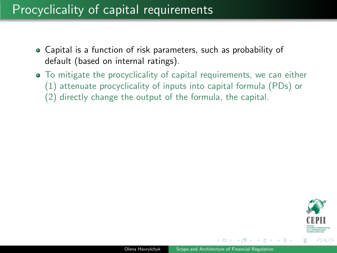#### Procyclicality of capital requirements

- Capital is a function of risk parameters, such as probability of default (based on internal ratings).
- To mitigate the procyclicality of capital requirements, we can either (1) attenuate procyclicality of inputs into capital formula (PDs) or
	- (2) directly change the output of the formula, the capital.



**REPARES**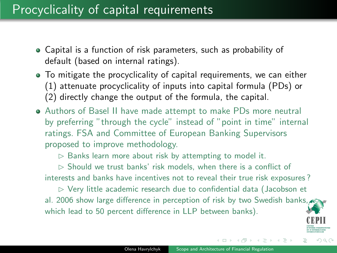#### Procyclicality of capital requirements

- Capital is a function of risk parameters, such as probability of default (based on internal ratings).
- To mitigate the procyclicality of capital requirements, we can either (1) attenuate procyclicality of inputs into capital formula (PDs) or (2) directly change the output of the formula, the capital.
- Authors of Basel II have made attempt to make PDs more neutral by preferring "through the cycle" instead of "point in time" internal ratings. FSA and Committee of European Banking Supervisors proposed to improve methodology.

 $\triangleright$  Banks learn more about risk by attempting to model it.

 $\triangleright$  Should we trust banks' risk models, when there is a conflict of interests and banks have incentives not to reveal their true risk exposures ?

 $\triangleright$  Very little academic research due to confidential data (Jacobson et al. 2006 show large difference in perception of risk by two Swedish banks, which lead to 50 percent difference in LLP between banks).



 $\Omega$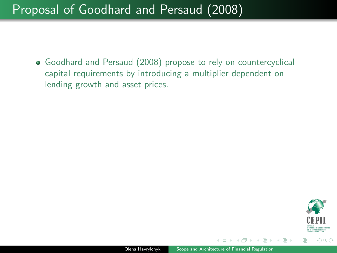Goodhard and Persaud (2008) propose to rely on countercyclical capital requirements by introducing a multiplier dependent on lending growth and asset prices.



イヨメ イヨメ

 $\leftarrow$   $\Box$   $\rightarrow$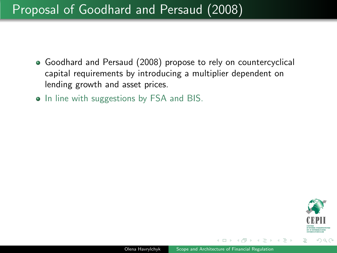- Goodhard and Persaud (2008) propose to rely on countercyclical capital requirements by introducing a multiplier dependent on lending growth and asset prices.
- In line with suggestions by FSA and BIS.

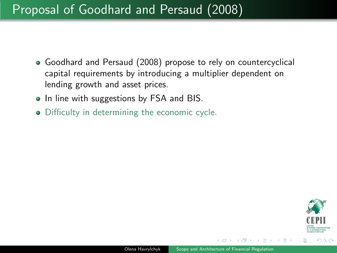- Goodhard and Persaud (2008) propose to rely on countercyclical capital requirements by introducing a multiplier dependent on lending growth and asset prices.
- In line with suggestions by FSA and BIS.
- Difficulty in determining the economic cycle.

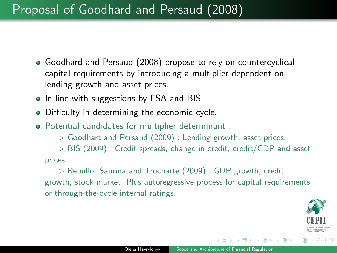- Goodhard and Persaud (2008) propose to rely on countercyclical capital requirements by introducing a multiplier dependent on lending growth and asset prices.
- In line with suggestions by FSA and BIS.
- Difficulty in determining the economic cycle.
- Potential candidates for multiplier determinant :

 $\triangleright$  Goodhart and Persaud (2009) : Lending growth, asset prices.

 $\triangleright$  BIS (2009) : Credit spreads, change in credit, credit/GDP and asset prices.

 $\triangleright$  Repullo, Saurina and Trucharte (2009) : GDP growth, credit growth, stock market. Plus autoregressive process for capital requirements or through-the-cycle internal ratings.



 $\Omega$ 

桐 トラ ミュ エト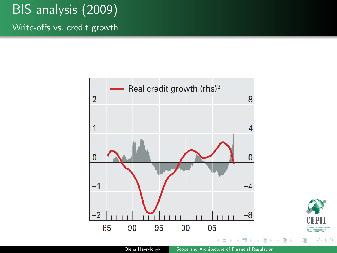# BIS analysis (2009)

Write-offs vs. credit growth



Olena Havrylchyk [Scope and Architecture of Financial Regulation](#page-0-0)

 $299$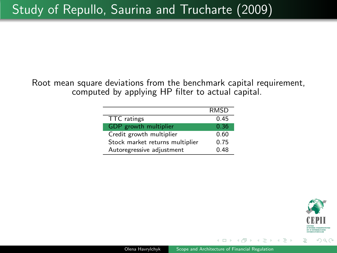Root mean square deviations from the benchmark capital requirement, computed by applying HP filter to actual capital.

|                                 | <b>RMSD</b> |
|---------------------------------|-------------|
| TTC ratings                     | 045         |
| GDP growth multiplier           | 0.36        |
| Credit growth multiplier        | 0.60        |
| Stock market returns multiplier | 0.75        |
| Autoregressive adjustment       | 0.48        |



ミメイヨメ

 $\Box$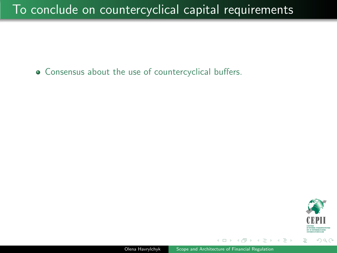#### To conclude on countercyclical capital requirements

Consensus about the use of countercyclical buffers.

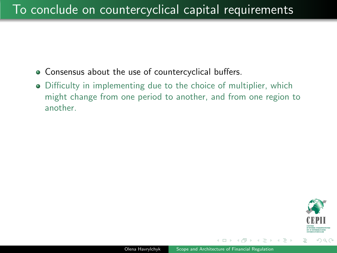- Consensus about the use of countercyclical buffers.
- Difficulty in implementing due to the choice of multiplier, which might change from one period to another, and from one region to another.

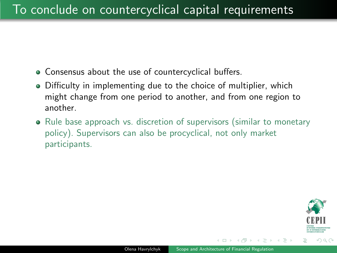- Consensus about the use of countercyclical buffers.
- Difficulty in implementing due to the choice of multiplier, which might change from one period to another, and from one region to another.
- Rule base approach vs. discretion of supervisors (similar to monetary policy). Supervisors can also be procyclical, not only market participants.

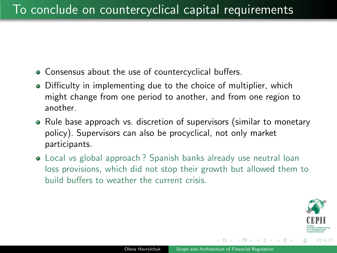- Consensus about the use of countercyclical buffers.
- Difficulty in implementing due to the choice of multiplier, which might change from one period to another, and from one region to another.
- Rule base approach vs. discretion of supervisors (similar to monetary policy). Supervisors can also be procyclical, not only market participants.
- Local vs global approach ? Spanish banks already use neutral loan loss provisions, which did not stop their growth but allowed them to build buffers to weather the current crisis.

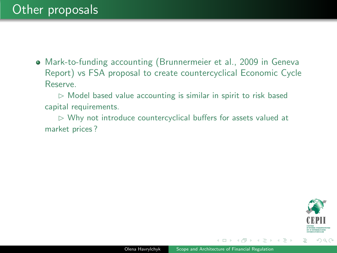$\triangleright$  Model based value accounting is similar in spirit to risk based capital requirements.

 $\triangleright$  Why not introduce countercyclical buffers for assets valued at market prices ?



 $\rightarrow \equiv +$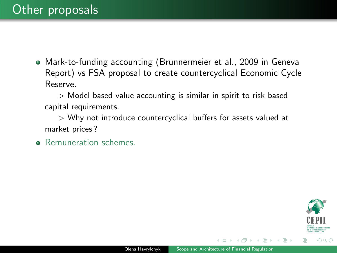$\triangleright$  Model based value accounting is similar in spirit to risk based capital requirements.

 $\triangleright$  Why not introduce countercyclical buffers for assets valued at market prices ?

**•** Remuneration schemes.

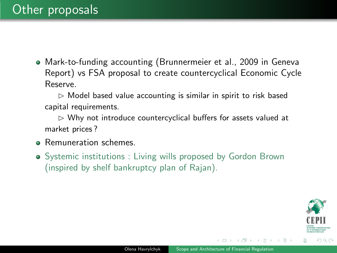$\triangleright$  Model based value accounting is similar in spirit to risk based capital requirements.

 $\triangleright$  Why not introduce countercyclical buffers for assets valued at market prices ?

- **Remuneration schemes.**
- Systemic institutions : Living wills proposed by Gordon Brown (inspired by shelf bankruptcy plan of Rajan).

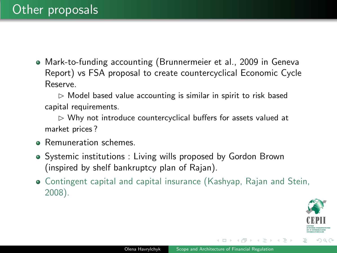$\triangleright$  Model based value accounting is similar in spirit to risk based capital requirements.

 $\triangleright$  Why not introduce countercyclical buffers for assets valued at market prices ?

- Remuneration schemes.
- Systemic institutions : Living wills proposed by Gordon Brown (inspired by shelf bankruptcy plan of Rajan).
- Contingent capital and capital insurance (Kashyap, Rajan and Stein, 2008).



 $\Omega$ 

桐 トラ ミュ エト